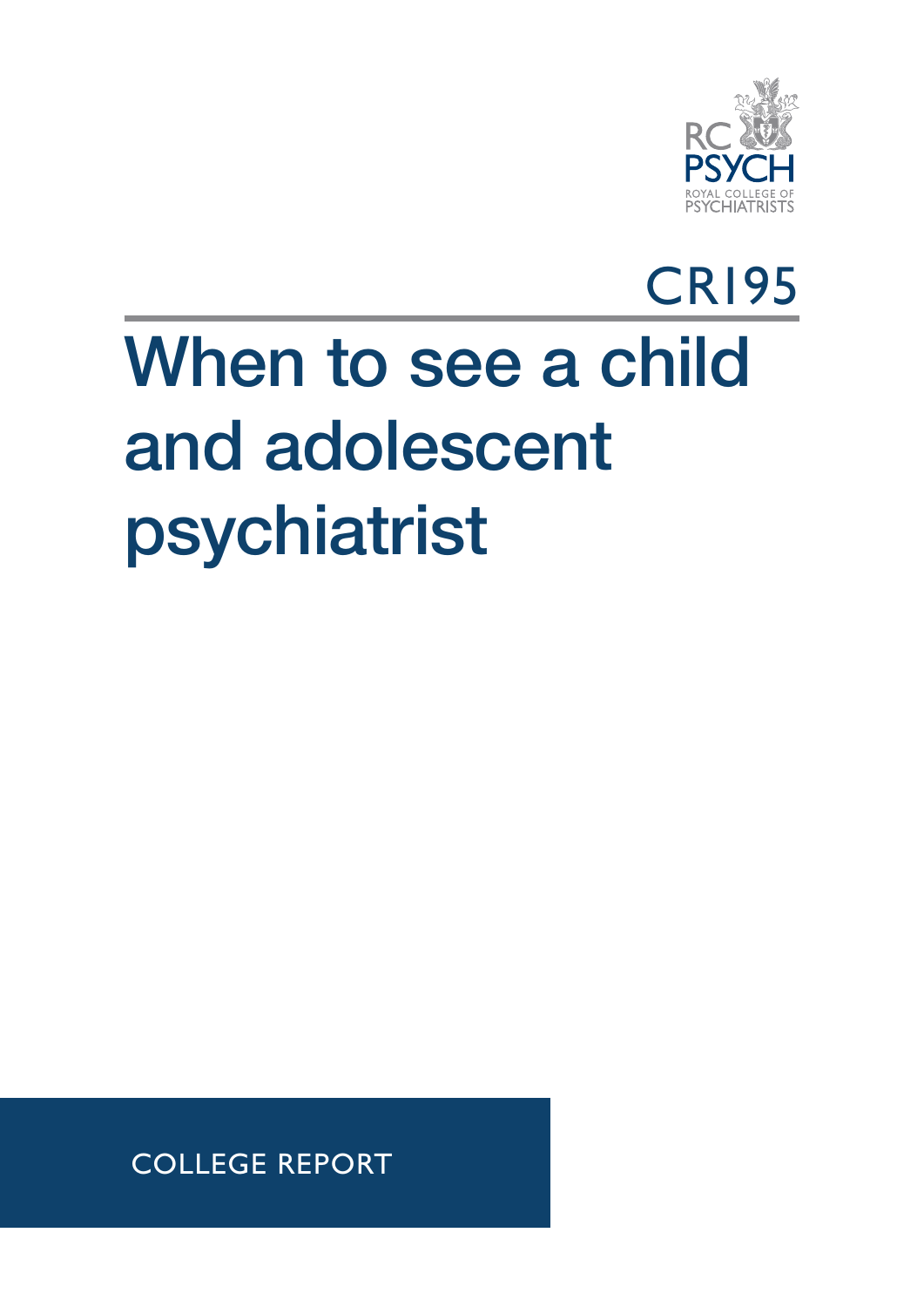

## CR195 When to see a child and adolescent psychiatrist

COLLEGE REPORT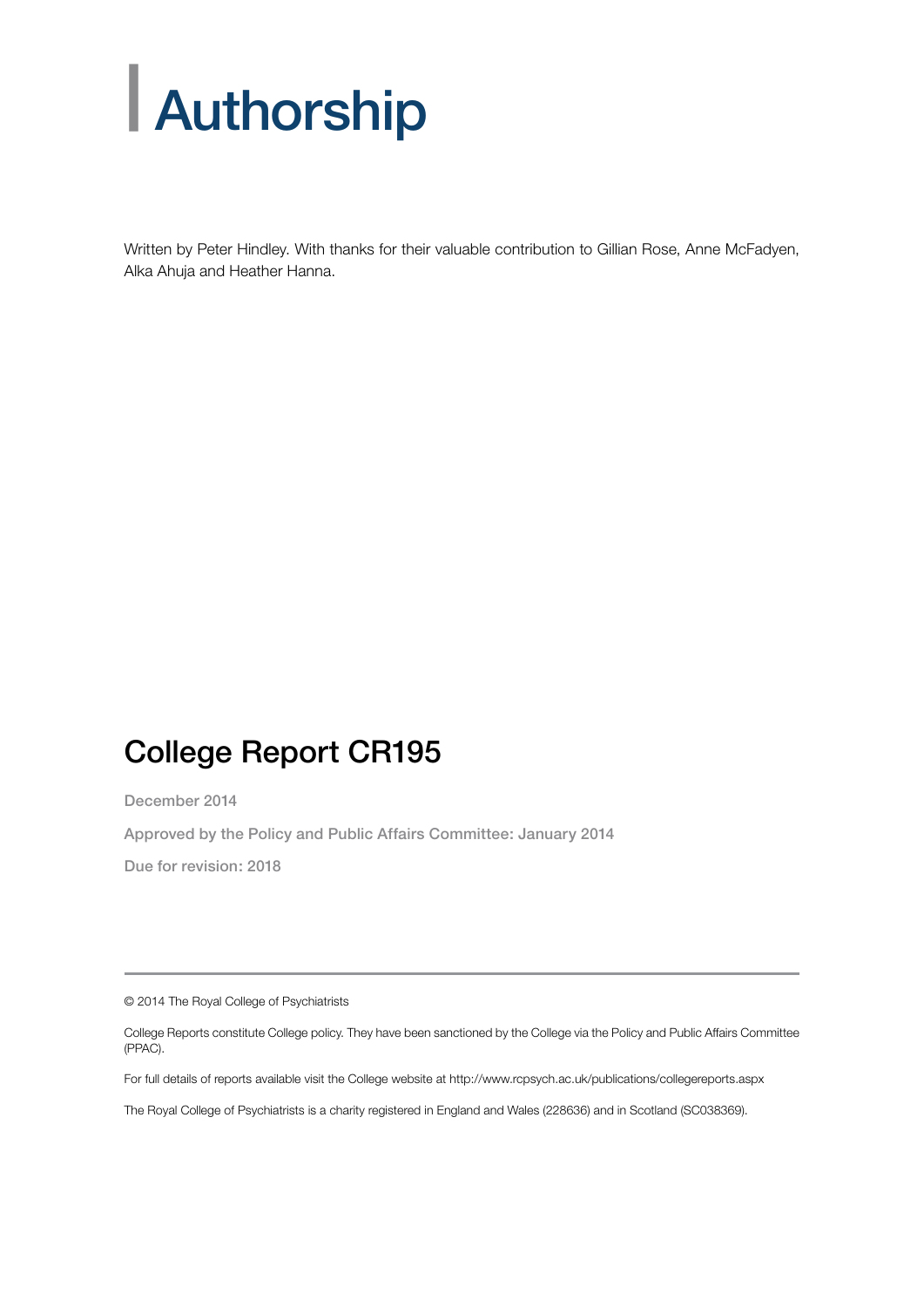# | Authorship

Written by Peter Hindley. With thanks for their valuable contribution to Gillian Rose, Anne McFadyen, Alka Ahuja and Heather Hanna.

#### College Report CR195

December 2014

Approved by the Policy and Public Affairs Committee: January 2014

Due for revision: 2018

© 2014 The Royal College of Psychiatrists

College Reports constitute College policy. They have been sanctioned by the College via the Policy and Public Affairs Committee (PPAC).

For full details of reports available visit the College website at http://www.rcpsych.ac.uk/publications/collegereports.aspx

The Royal College of Psychiatrists is a charity registered in England and Wales (228636) and in Scotland (SC038369).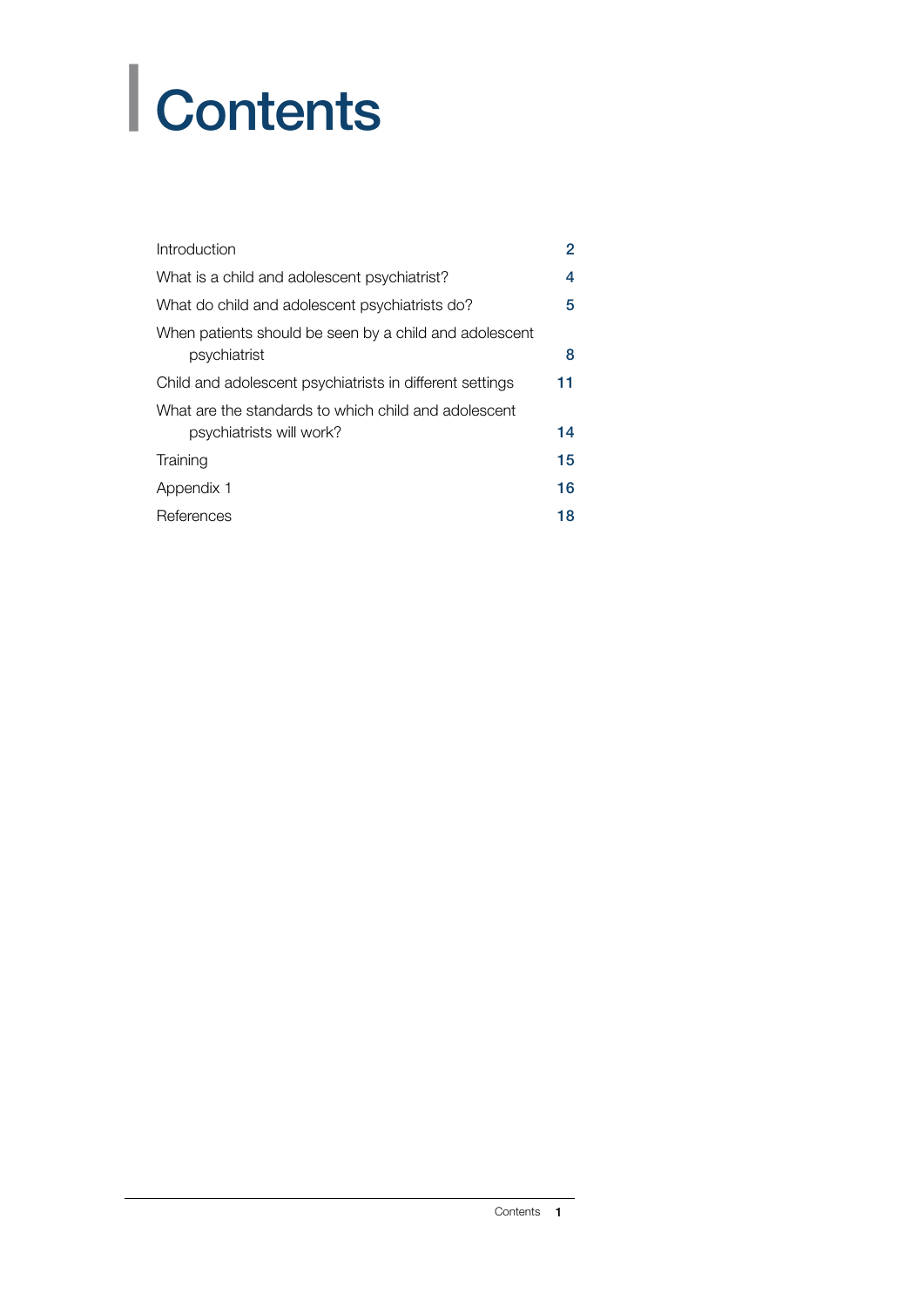# | Contents

| Introduction                                                                     | $\overline{2}$ |
|----------------------------------------------------------------------------------|----------------|
| What is a child and adolescent psychiatrist?                                     | 4              |
| What do child and adolescent psychiatrists do?                                   | 5              |
| When patients should be seen by a child and adolescent<br>psychiatrist           | 8              |
| Child and adolescent psychiatrists in different settings                         | 11             |
| What are the standards to which child and adolescent<br>psychiatrists will work? | 14             |
| Training                                                                         | 15             |
| Appendix 1                                                                       | 16             |
| References                                                                       | 18             |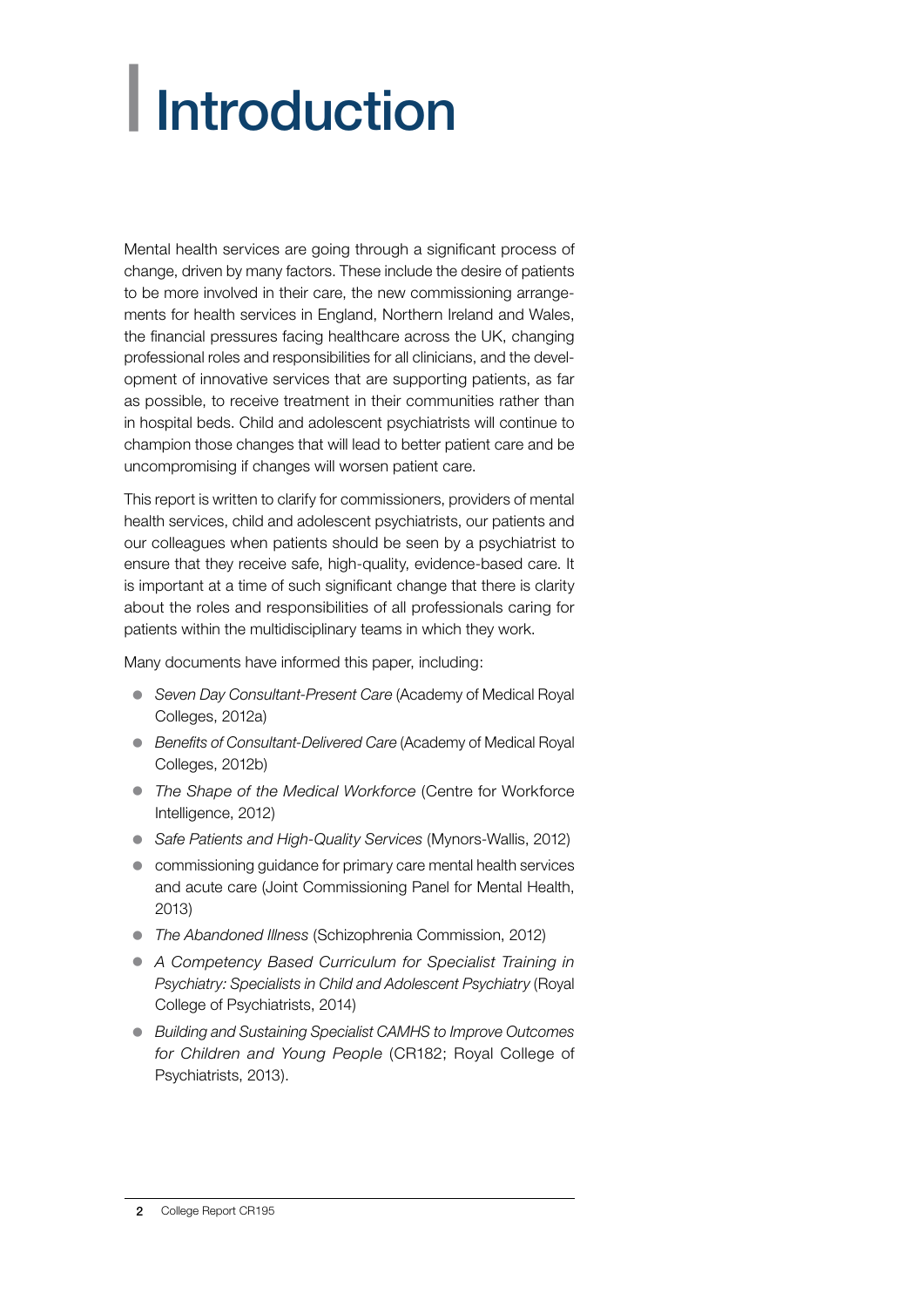# <span id="page-3-0"></span>| Introduction

Mental health services are going through a significant process of change, driven by many factors. These include the desire of patients to be more involved in their care, the new commissioning arrangements for health services in England, Northern Ireland and Wales, the financial pressures facing healthcare across the UK, changing professional roles and responsibilities for all clinicians, and the development of innovative services that are supporting patients, as far as possible, to receive treatment in their communities rather than in hospital beds. Child and adolescent psychiatrists will continue to champion those changes that will lead to better patient care and be uncompromising if changes will worsen patient care.

This report is written to clarify for commissioners, providers of mental health services, child and adolescent psychiatrists, our patients and our colleagues when patients should be seen by a psychiatrist to ensure that they receive safe, high-quality, evidence-based care. It is important at a time of such significant change that there is clarity about the roles and responsibilities of all professionals caring for patients within the multidisciplinary teams in which they work.

Many documents have informed this paper, including:

- **Seven Day Consultant-Present Care (Academy of Medical Royal** Colleges, 2012a)
- **Benefits of Consultant-Delivered Care (Academy of Medical Royal** Colleges, 2012b)
- The Shape of the Medical Workforce (Centre for Workforce Intelligence, 2012)
- Safe Patients and High-Quality Services (Mynors-Wallis, 2012)
- commissioning quidance for primary care mental health services and acute care (Joint Commissioning Panel for Mental Health, 2013)
- **•** *The Abandoned Illness* (Schizophrenia Commission, 2012)
- **A Competency Based Curriculum for Specialist Training in** *Psychiatry: Specialists in Child and Adolescent Psychiatry* (Royal College of Psychiatrists, 2014)
- z *Building and Sustaining Specialist CAMHS to Improve Outcomes for Children and Young People* (CR182; Royal College of Psychiatrists, 2013).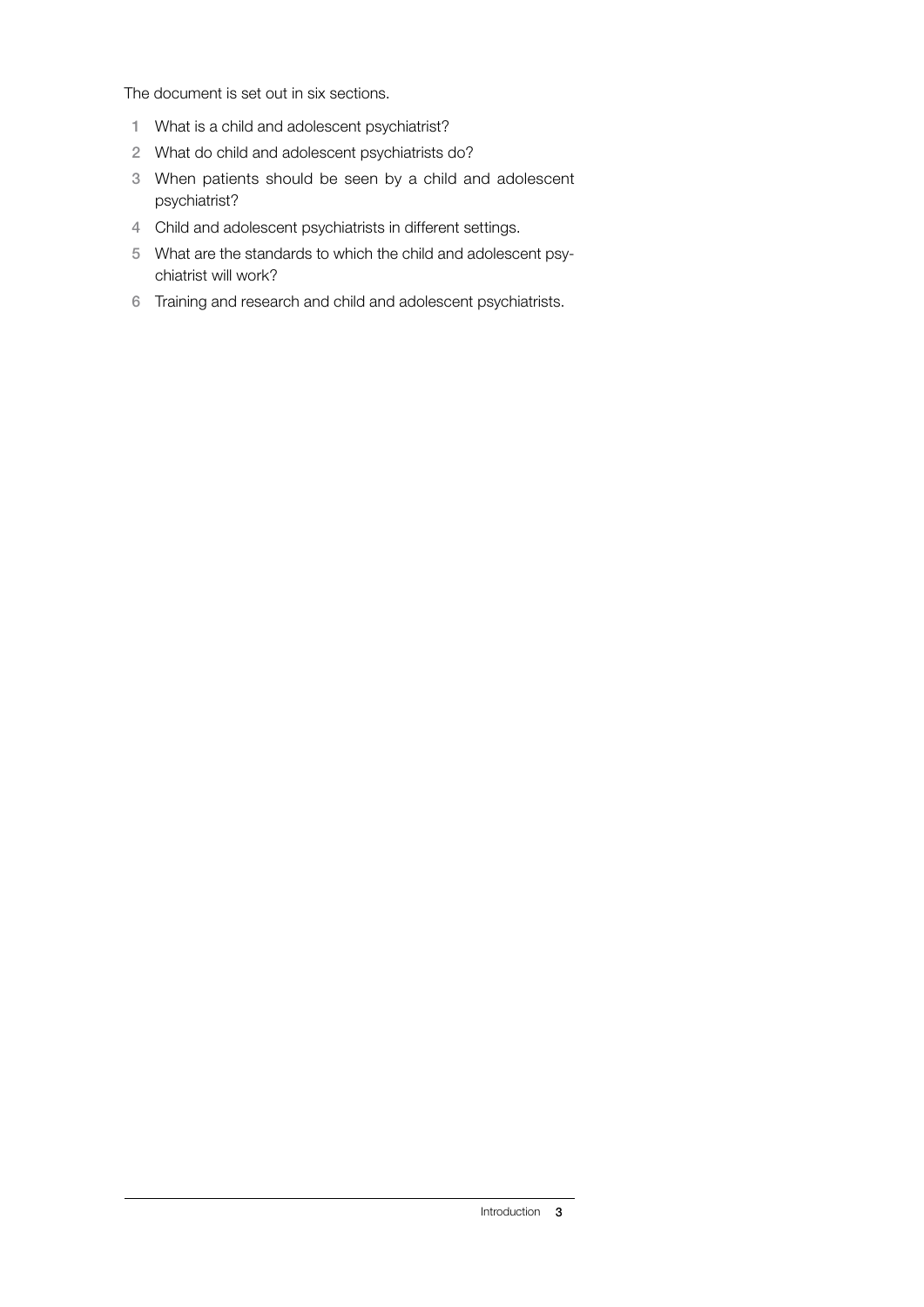The document is set out in six sections.

- 1 What is a child and adolescent psychiatrist?
- 2 What do child and adolescent psychiatrists do?
- 3 When patients should be seen by a child and adolescent psychiatrist?
- 4 Child and adolescent psychiatrists in different settings.
- 5 What are the standards to which the child and adolescent psychiatrist will work?
- 6 Training and research and child and adolescent psychiatrists.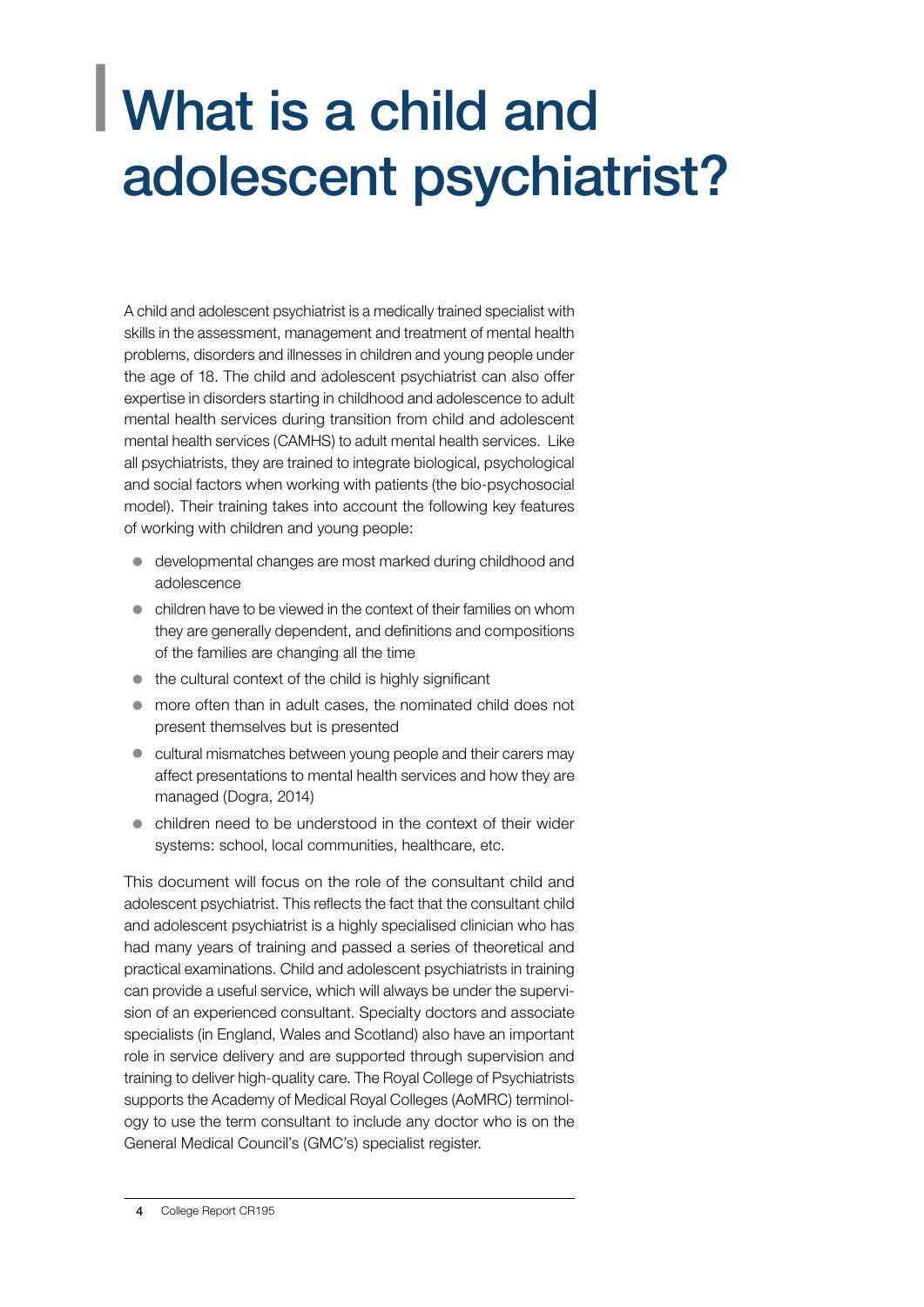### <span id="page-5-0"></span>| What is a child and adolescent psychiatrist?

A child and adolescent psychiatrist is a medically trained specialist with skills in the assessment, management and treatment of mental health problems, disorders and illnesses in children and young people under the age of 18. The child and adolescent psychiatrist can also offer expertise in disorders starting in childhood and adolescence to adult mental health services during transition from child and adolescent mental health services (CAMHS) to adult mental health services. Like all psychiatrists, they are trained to integrate biological, psychological and social factors when working with patients (the bio-psychosocial model). Their training takes into account the following key features of working with children and young people:

- developmental changes are most marked during childhood and adolescence
- $\bullet$  children have to be viewed in the context of their families on whom they are generally dependent, and definitions and compositions of the families are changing all the time
- $\bullet$  the cultural context of the child is highly significant
- more often than in adult cases, the nominated child does not present themselves but is presented
- cultural mismatches between young people and their carers may affect presentations to mental health services and how they are managed (Dogra, 2014)
- children need to be understood in the context of their wider systems: school, local communities, healthcare, etc.

This document will focus on the role of the consultant child and adolescent psychiatrist. This reflects the fact that the consultant child and adolescent psychiatrist is a highly specialised clinician who has had many years of training and passed a series of theoretical and practical examinations. Child and adolescent psychiatrists in training can provide a useful service, which will always be under the supervision of an experienced consultant. Specialty doctors and associate specialists (in England, Wales and Scotland) also have an important role in service delivery and are supported through supervision and training to deliver high-quality care. The Royal College of Psychiatrists supports the Academy of Medical Royal Colleges (AoMRC) terminology to use the term consultant to include any doctor who is on the General Medical Council's (GMC's) specialist register.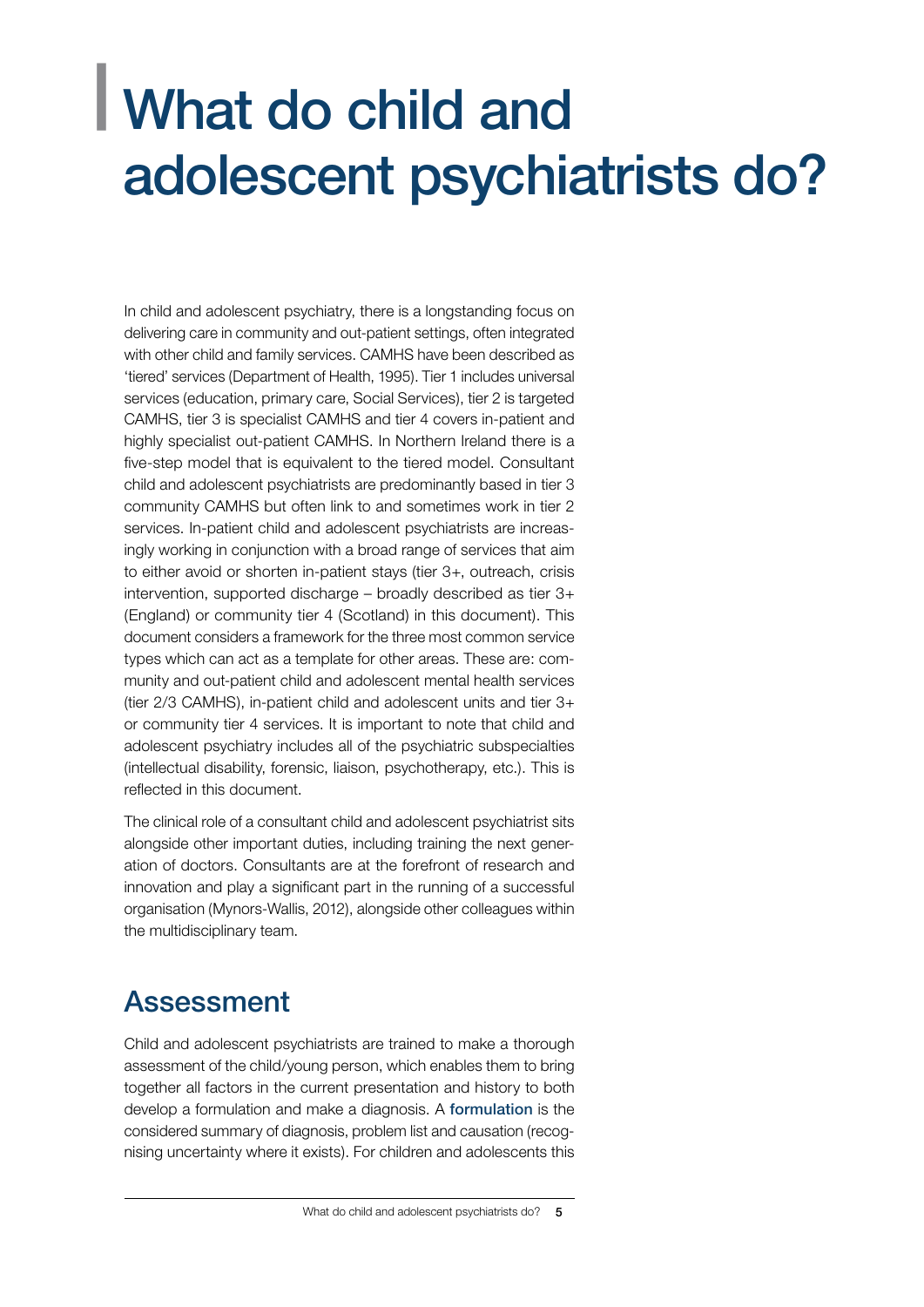### <span id="page-6-0"></span>| What do child and adolescent psychiatrists do?

In child and adolescent psychiatry, there is a longstanding focus on delivering care in community and out-patient settings, often integrated with other child and family services. CAMHS have been described as 'tiered' services (Department of Health, 1995). Tier 1 includes universal services (education, primary care, Social Services), tier 2 is targeted CAMHS, tier 3 is specialist CAMHS and tier 4 covers in-patient and highly specialist out-patient CAMHS. In Northern Ireland there is a five-step model that is equivalent to the tiered model. Consultant child and adolescent psychiatrists are predominantly based in tier 3 community CAMHS but often link to and sometimes work in tier 2 services. In-patient child and adolescent psychiatrists are increasingly working in conjunction with a broad range of services that aim to either avoid or shorten in-patient stays (tier 3+, outreach, crisis intervention, supported discharge – broadly described as tier 3+ (England) or community tier 4 (Scotland) in this document). This document considers a framework for the three most common service types which can act as a template for other areas. These are: community and out-patient child and adolescent mental health services (tier 2/3 CAMHS), in-patient child and adolescent units and tier 3+ or community tier 4 services. It is important to note that child and adolescent psychiatry includes all of the psychiatric subspecialties (intellectual disability, forensic, liaison, psychotherapy, etc.). This is reflected in this document.

The clinical role of a consultant child and adolescent psychiatrist sits alongside other important duties, including training the next generation of doctors. Consultants are at the forefront of research and innovation and play a significant part in the running of a successful organisation (Mynors-Wallis, 2012), alongside other colleagues within the multidisciplinary team.

#### Assessment

Child and adolescent psychiatrists are trained to make a thorough assessment of the child/young person, which enables them to bring together all factors in the current presentation and history to both develop a formulation and make a diagnosis. A formulation is the considered summary of diagnosis, problem list and causation (recognising uncertainty where it exists). For children and adolescents this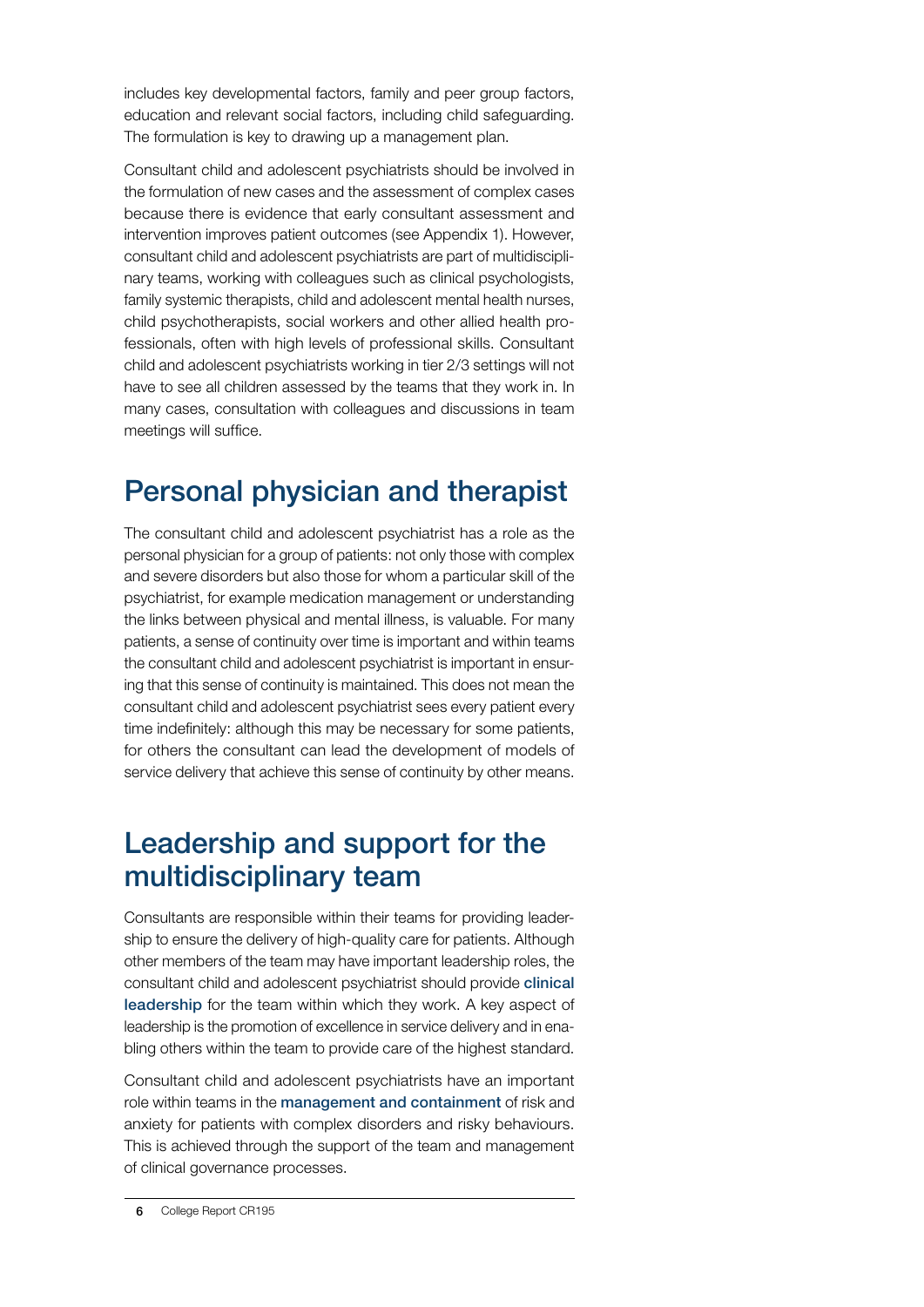includes key developmental factors, family and peer group factors, education and relevant social factors, including child safeguarding. The formulation is key to drawing up a management plan.

Consultant child and adolescent psychiatrists should be involved in the formulation of new cases and the assessment of complex cases because there is evidence that early consultant assessment and intervention improves patient outcomes (see Appendix 1). However, consultant child and adolescent psychiatrists are part of multidisciplinary teams, working with colleagues such as clinical psychologists, family systemic therapists, child and adolescent mental health nurses, child psychotherapists, social workers and other allied health professionals, often with high levels of professional skills. Consultant child and adolescent psychiatrists working in tier 2/3 settings will not have to see all children assessed by the teams that they work in. In many cases, consultation with colleagues and discussions in team meetings will suffice.

#### Personal physician and therapist

The consultant child and adolescent psychiatrist has a role as the personal physician for a group of patients: not only those with complex and severe disorders but also those for whom a particular skill of the psychiatrist, for example medication management or understanding the links between physical and mental illness, is valuable. For many patients, a sense of continuity over time is important and within teams the consultant child and adolescent psychiatrist is important in ensuring that this sense of continuity is maintained. This does not mean the consultant child and adolescent psychiatrist sees every patient every time indefinitely: although this may be necessary for some patients, for others the consultant can lead the development of models of service delivery that achieve this sense of continuity by other means.

#### Leadership and support for the multidisciplinary team

Consultants are responsible within their teams for providing leadership to ensure the delivery of high-quality care for patients. Although other members of the team may have important leadership roles, the consultant child and adolescent psychiatrist should provide clinical leadership for the team within which they work. A key aspect of leadership is the promotion of excellence in service delivery and in enabling others within the team to provide care of the highest standard.

Consultant child and adolescent psychiatrists have an important role within teams in the management and containment of risk and anxiety for patients with complex disorders and risky behaviours. This is achieved through the support of the team and management of clinical governance processes.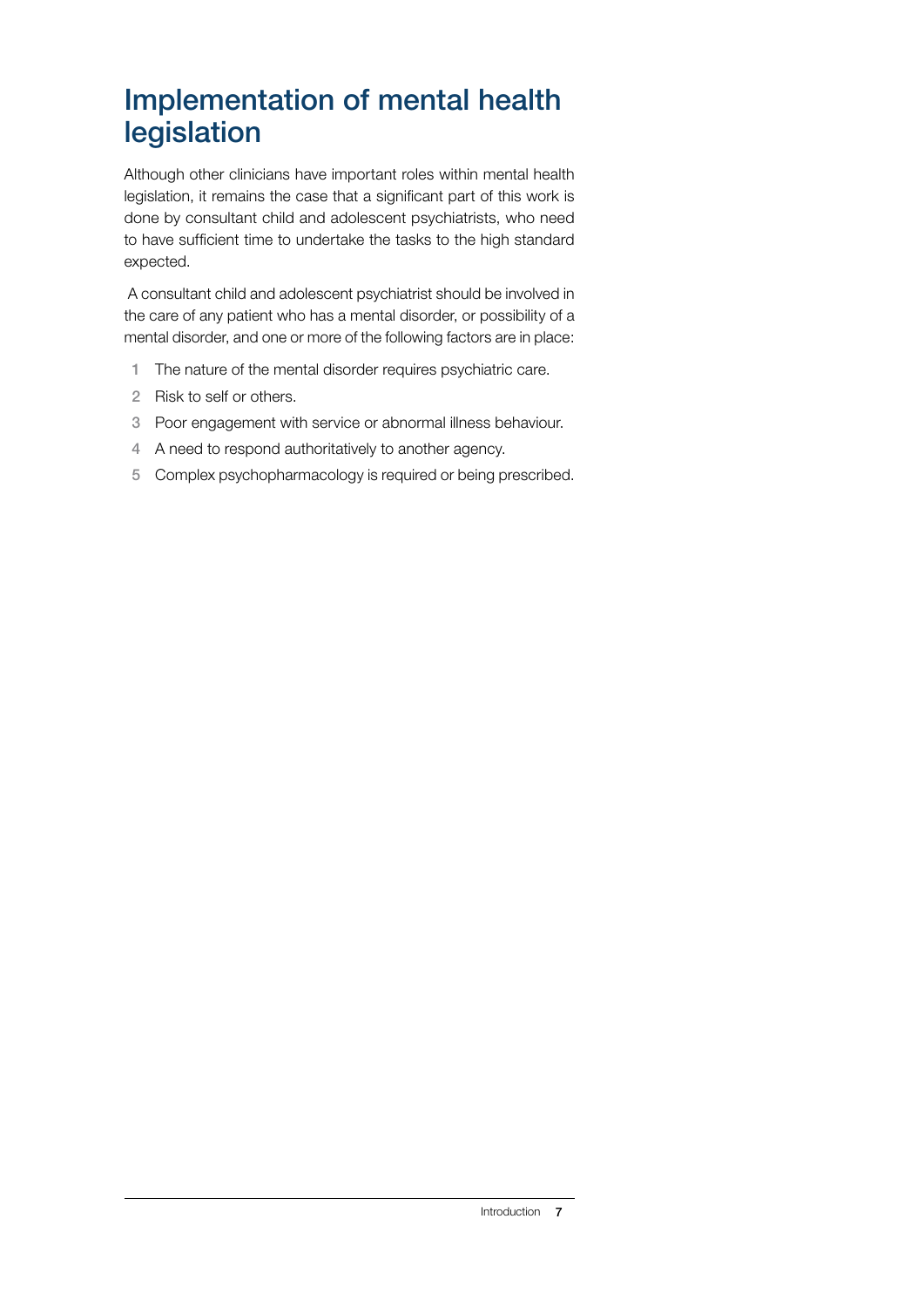#### Implementation of mental health legislation

Although other clinicians have important roles within mental health legislation, it remains the case that a significant part of this work is done by consultant child and adolescent psychiatrists, who need to have sufficient time to undertake the tasks to the high standard expected.

 A consultant child and adolescent psychiatrist should be involved in the care of any patient who has a mental disorder, or possibility of a mental disorder, and one or more of the following factors are in place:

- 1 The nature of the mental disorder requires psychiatric care.
- 2 Risk to self or others.
- 3 Poor engagement with service or abnormal illness behaviour.
- 4 A need to respond authoritatively to another agency.
- 5 Complex psychopharmacology is required or being prescribed.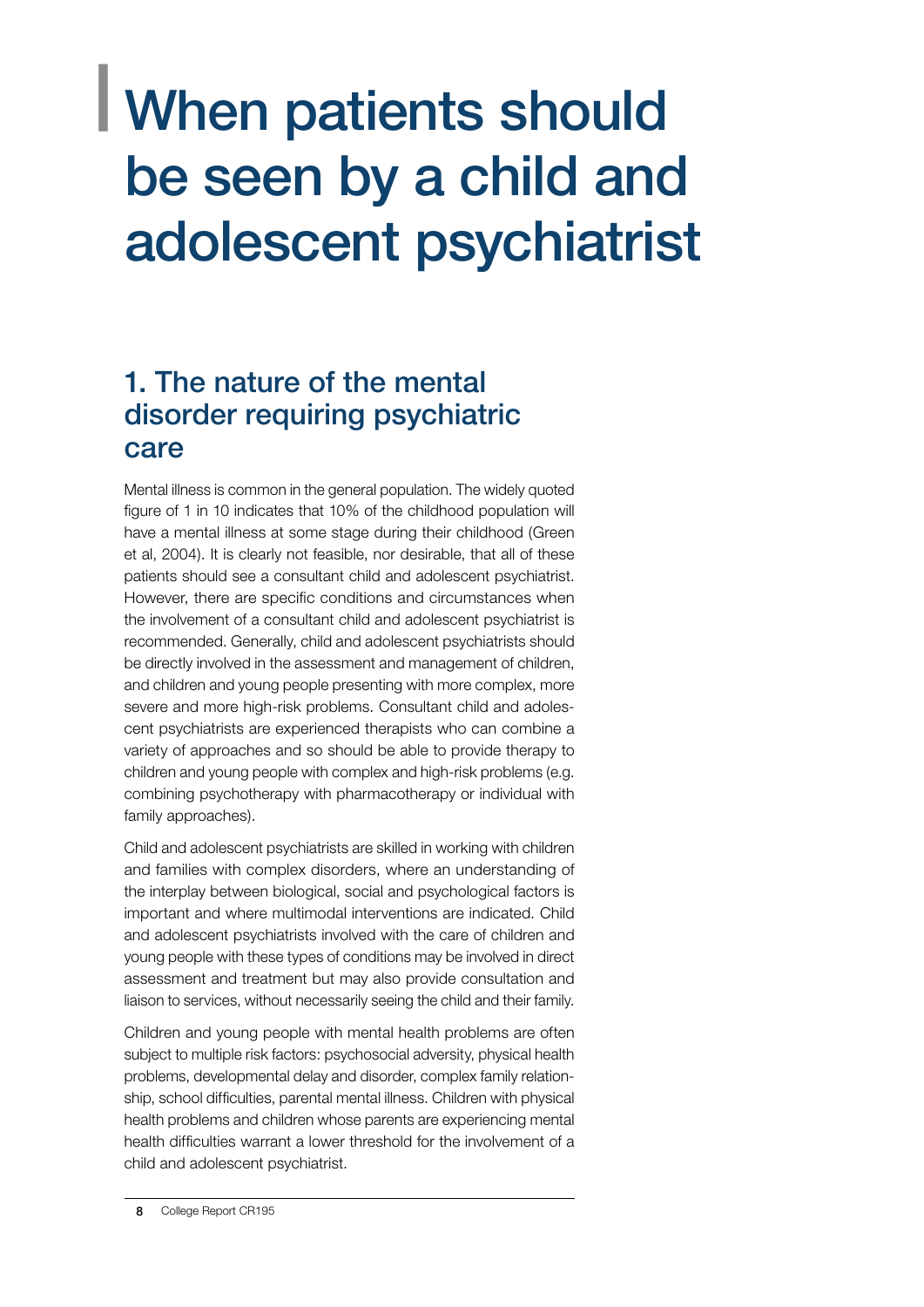### <span id="page-9-0"></span>| When patients should be seen by a child and adolescent psychiatrist

#### 1. The nature of the mental disorder requiring psychiatric care

Mental illness is common in the general population. The widely quoted figure of 1 in 10 indicates that 10% of the childhood population will have a mental illness at some stage during their childhood (Green et al, 2004). It is clearly not feasible, nor desirable, that all of these patients should see a consultant child and adolescent psychiatrist. However, there are specific conditions and circumstances when the involvement of a consultant child and adolescent psychiatrist is recommended. Generally, child and adolescent psychiatrists should be directly involved in the assessment and management of children, and children and young people presenting with more complex, more severe and more high-risk problems. Consultant child and adolescent psychiatrists are experienced therapists who can combine a variety of approaches and so should be able to provide therapy to children and young people with complex and high-risk problems (e.g. combining psychotherapy with pharmacotherapy or individual with family approaches).

Child and adolescent psychiatrists are skilled in working with children and families with complex disorders, where an understanding of the interplay between biological, social and psychological factors is important and where multimodal interventions are indicated. Child and adolescent psychiatrists involved with the care of children and young people with these types of conditions may be involved in direct assessment and treatment but may also provide consultation and liaison to services, without necessarily seeing the child and their family.

Children and young people with mental health problems are often subject to multiple risk factors: psychosocial adversity, physical health problems, developmental delay and disorder, complex family relationship, school difficulties, parental mental illness. Children with physical health problems and children whose parents are experiencing mental health difficulties warrant a lower threshold for the involvement of a child and adolescent psychiatrist.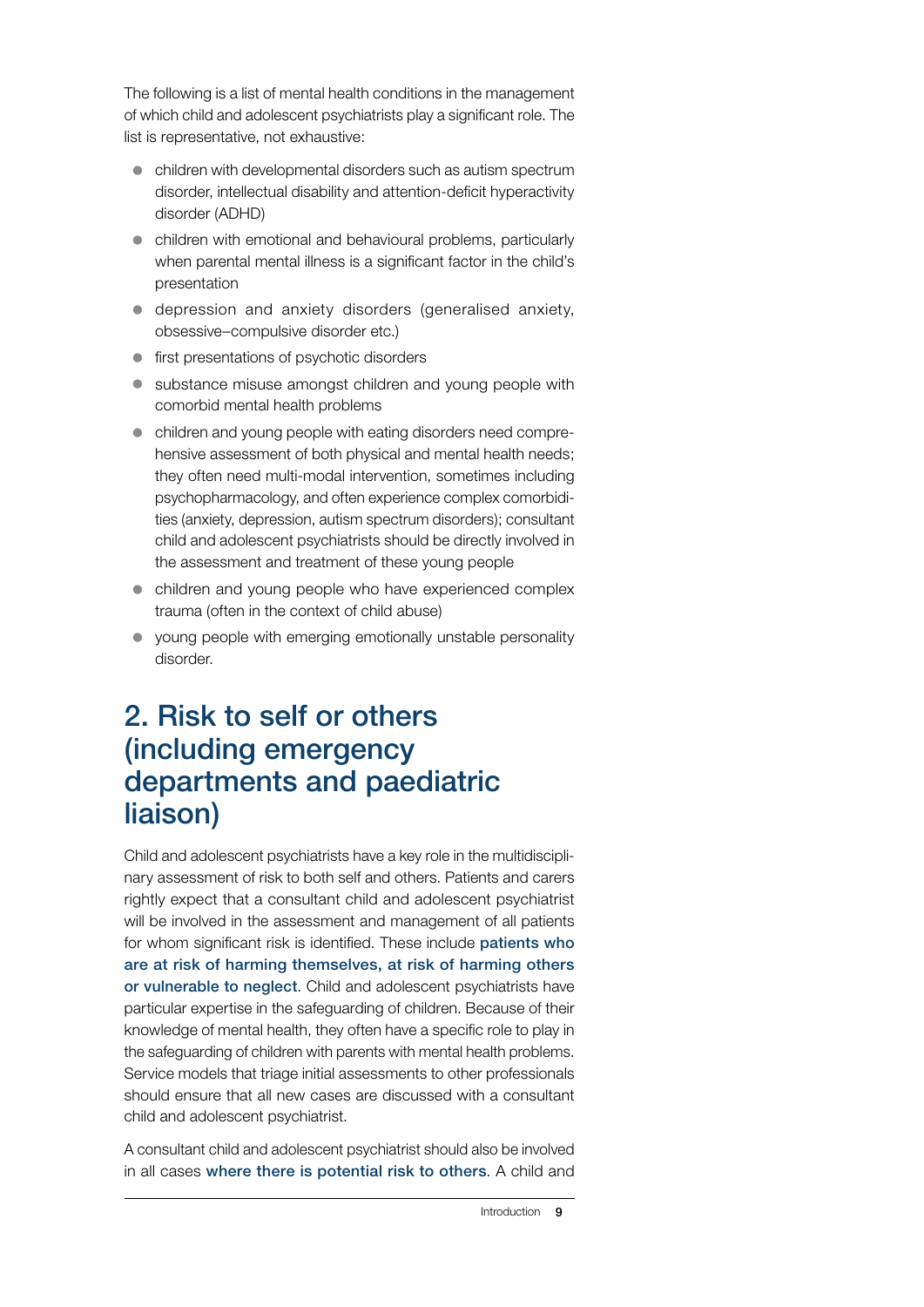The following is a list of mental health conditions in the management of which child and adolescent psychiatrists play a significant role. The list is representative, not exhaustive:

- children with developmental disorders such as autism spectrum disorder, intellectual disability and attention-deficit hyperactivity disorder (ADHD)
- $\bullet$  children with emotional and behavioural problems, particularly when parental mental illness is a significant factor in the child's presentation
- depression and anxiety disorders (generalised anxiety, obsessive–compulsive disorder etc.)
- $\bullet$  first presentations of psychotic disorders
- substance misuse amongst children and young people with comorbid mental health problems
- children and young people with eating disorders need comprehensive assessment of both physical and mental health needs; they often need multi-modal intervention, sometimes including psychopharmacology, and often experience complex comorbidities (anxiety, depression, autism spectrum disorders); consultant child and adolescent psychiatrists should be directly involved in the assessment and treatment of these young people
- children and young people who have experienced complex trauma (often in the context of child abuse)
- young people with emerging emotionally unstable personality disorder.

#### 2. Risk to self or others (including emergency departments and paediatric liaison)

Child and adolescent psychiatrists have a key role in the multidisciplinary assessment of risk to both self and others. Patients and carers rightly expect that a consultant child and adolescent psychiatrist will be involved in the assessment and management of all patients for whom significant risk is identified. These include patients who are at risk of harming themselves, at risk of harming others or vulnerable to neglect. Child and adolescent psychiatrists have particular expertise in the safeguarding of children. Because of their knowledge of mental health, they often have a specific role to play in the safeguarding of children with parents with mental health problems. Service models that triage initial assessments to other professionals should ensure that all new cases are discussed with a consultant child and adolescent psychiatrist.

A consultant child and adolescent psychiatrist should also be involved in all cases where there is potential risk to others. A child and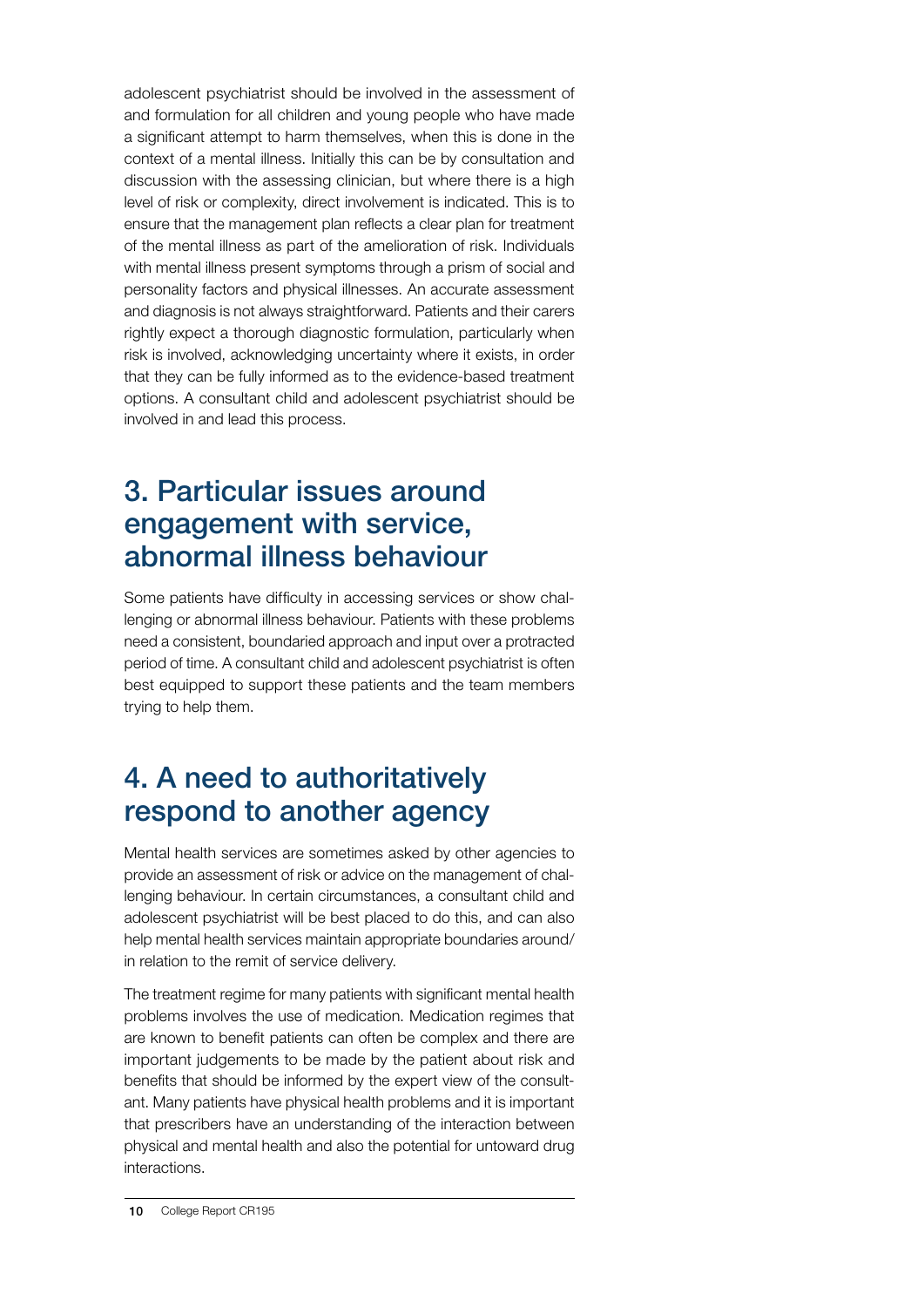adolescent psychiatrist should be involved in the assessment of and formulation for all children and young people who have made a significant attempt to harm themselves, when this is done in the context of a mental illness. Initially this can be by consultation and discussion with the assessing clinician, but where there is a high level of risk or complexity, direct involvement is indicated. This is to ensure that the management plan reflects a clear plan for treatment of the mental illness as part of the amelioration of risk. Individuals with mental illness present symptoms through a prism of social and personality factors and physical illnesses. An accurate assessment and diagnosis is not always straightforward. Patients and their carers rightly expect a thorough diagnostic formulation, particularly when risk is involved, acknowledging uncertainty where it exists, in order that they can be fully informed as to the evidence-based treatment options. A consultant child and adolescent psychiatrist should be involved in and lead this process.

#### 3. Particular issues around engagement with service, abnormal illness behaviour

Some patients have difficulty in accessing services or show challenging or abnormal illness behaviour. Patients with these problems need a consistent, boundaried approach and input over a protracted period of time. A consultant child and adolescent psychiatrist is often best equipped to support these patients and the team members trying to help them.

#### 4. A need to authoritatively respond to another agency

Mental health services are sometimes asked by other agencies to provide an assessment of risk or advice on the management of challenging behaviour. In certain circumstances, a consultant child and adolescent psychiatrist will be best placed to do this, and can also help mental health services maintain appropriate boundaries around/ in relation to the remit of service delivery.

The treatment regime for many patients with significant mental health problems involves the use of medication. Medication regimes that are known to benefit patients can often be complex and there are important judgements to be made by the patient about risk and benefits that should be informed by the expert view of the consultant. Many patients have physical health problems and it is important that prescribers have an understanding of the interaction between physical and mental health and also the potential for untoward drug interactions.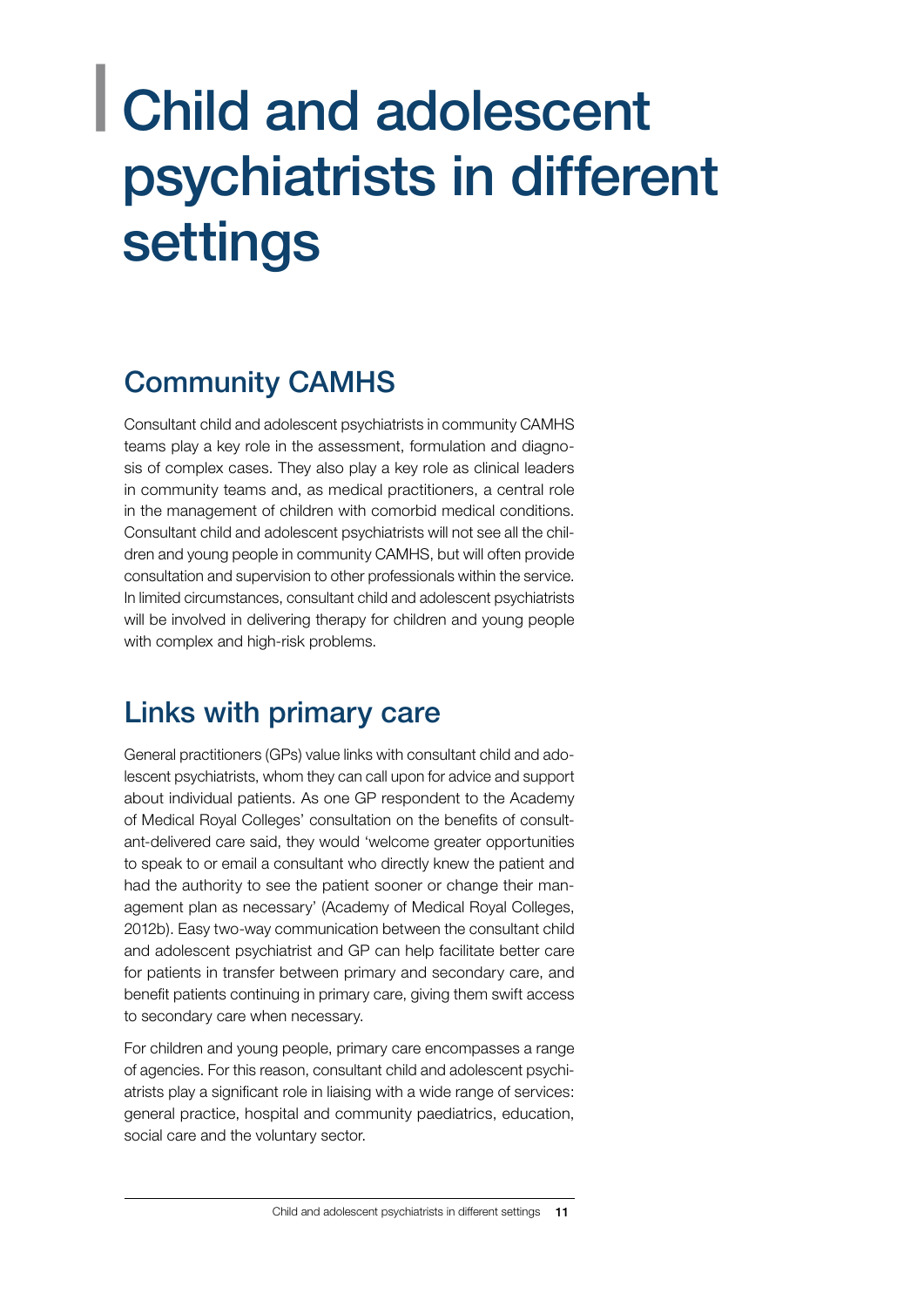### <span id="page-12-0"></span>| Child and adolescent psychiatrists in different settings

#### Community CAMHS

Consultant child and adolescent psychiatrists in community CAMHS teams play a key role in the assessment, formulation and diagnosis of complex cases. They also play a key role as clinical leaders in community teams and, as medical practitioners, a central role in the management of children with comorbid medical conditions. Consultant child and adolescent psychiatrists will not see all the children and young people in community CAMHS, but will often provide consultation and supervision to other professionals within the service. In limited circumstances, consultant child and adolescent psychiatrists will be involved in delivering therapy for children and young people with complex and high-risk problems.

#### Links with primary care

General practitioners (GPs) value links with consultant child and adolescent psychiatrists, whom they can call upon for advice and support about individual patients. As one GP respondent to the Academy of Medical Royal Colleges' consultation on the benefits of consultant-delivered care said, they would 'welcome greater opportunities to speak to or email a consultant who directly knew the patient and had the authority to see the patient sooner or change their management plan as necessary' (Academy of Medical Royal Colleges, 2012b). Easy two-way communication between the consultant child and adolescent psychiatrist and GP can help facilitate better care for patients in transfer between primary and secondary care, and benefit patients continuing in primary care, giving them swift access to secondary care when necessary.

For children and young people, primary care encompasses a range of agencies. For this reason, consultant child and adolescent psychiatrists play a significant role in liaising with a wide range of services: general practice, hospital and community paediatrics, education, social care and the voluntary sector.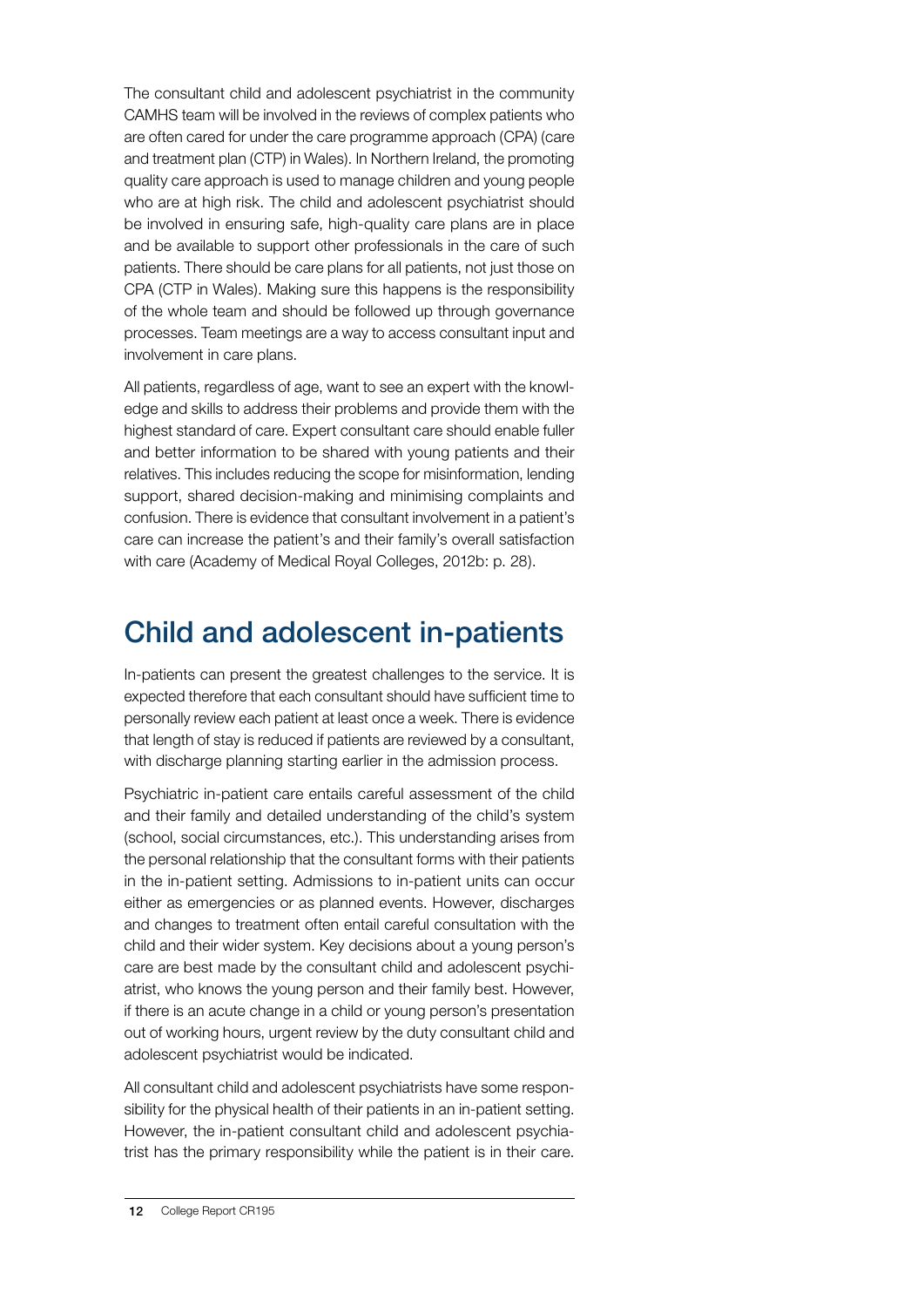The consultant child and adolescent psychiatrist in the community CAMHS team will be involved in the reviews of complex patients who are often cared for under the care programme approach (CPA) (care and treatment plan (CTP) in Wales). In Northern Ireland, the promoting quality care approach is used to manage children and young people who are at high risk. The child and adolescent psychiatrist should be involved in ensuring safe, high-quality care plans are in place and be available to support other professionals in the care of such patients. There should be care plans for all patients, not just those on CPA (CTP in Wales). Making sure this happens is the responsibility of the whole team and should be followed up through governance processes. Team meetings are a way to access consultant input and involvement in care plans.

All patients, regardless of age, want to see an expert with the knowledge and skills to address their problems and provide them with the highest standard of care. Expert consultant care should enable fuller and better information to be shared with young patients and their relatives. This includes reducing the scope for misinformation, lending support, shared decision-making and minimising complaints and confusion. There is evidence that consultant involvement in a patient's care can increase the patient's and their family's overall satisfaction with care (Academy of Medical Royal Colleges, 2012b: p. 28).

#### Child and adolescent in-patients

In-patients can present the greatest challenges to the service. It is expected therefore that each consultant should have sufficient time to personally review each patient at least once a week. There is evidence that length of stay is reduced if patients are reviewed by a consultant, with discharge planning starting earlier in the admission process.

Psychiatric in-patient care entails careful assessment of the child and their family and detailed understanding of the child's system (school, social circumstances, etc.). This understanding arises from the personal relationship that the consultant forms with their patients in the in-patient setting. Admissions to in-patient units can occur either as emergencies or as planned events. However, discharges and changes to treatment often entail careful consultation with the child and their wider system. Key decisions about a young person's care are best made by the consultant child and adolescent psychiatrist, who knows the young person and their family best. However, if there is an acute change in a child or young person's presentation out of working hours, urgent review by the duty consultant child and adolescent psychiatrist would be indicated.

All consultant child and adolescent psychiatrists have some responsibility for the physical health of their patients in an in-patient setting. However, the in-patient consultant child and adolescent psychiatrist has the primary responsibility while the patient is in their care.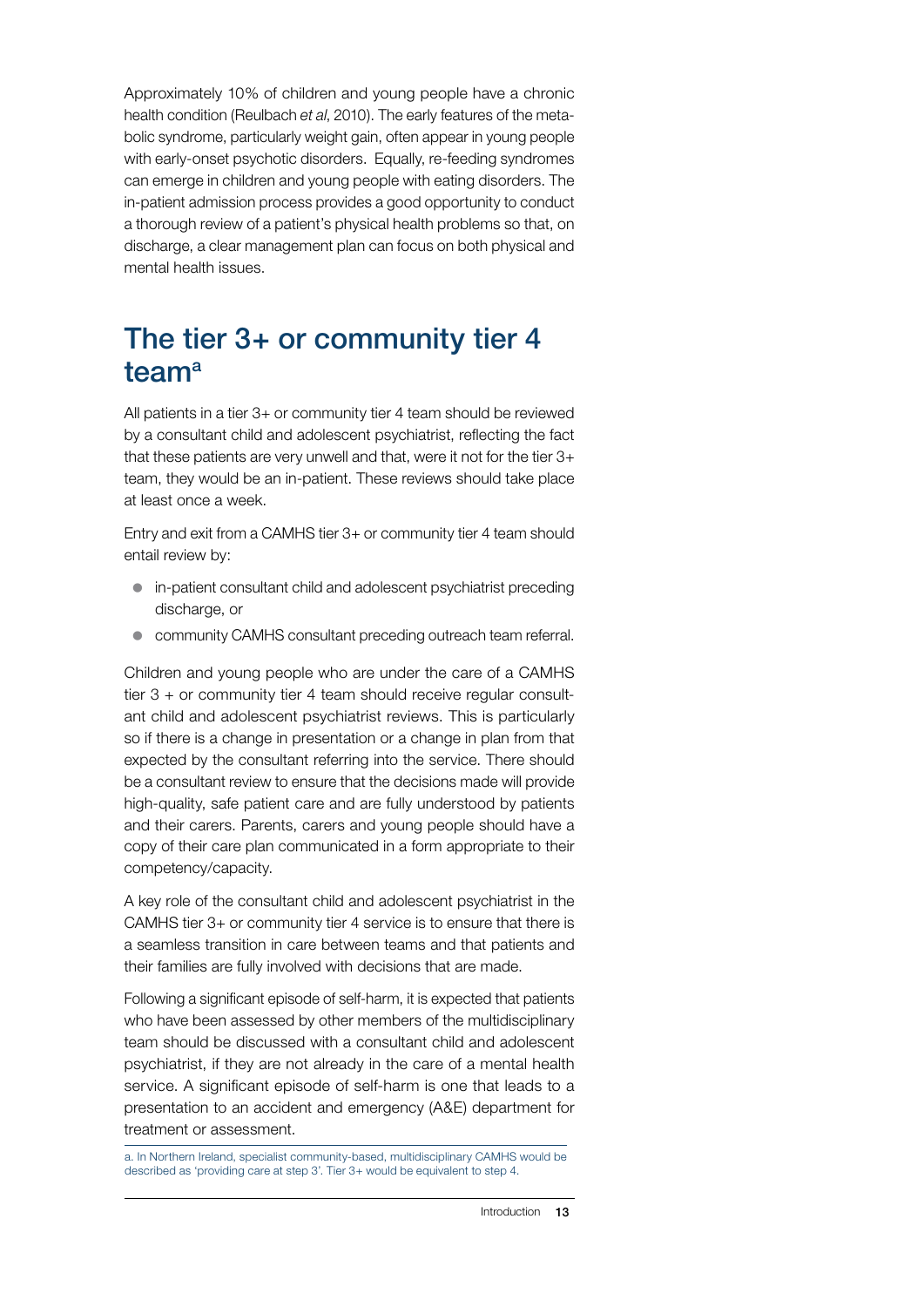Approximately 10% of children and young people have a chronic health condition (Reulbach *et al*, 2010). The early features of the metabolic syndrome, particularly weight gain, often appear in young people with early-onset psychotic disorders. Equally, re-feeding syndromes can emerge in children and young people with eating disorders. The in-patient admission process provides a good opportunity to conduct a thorough review of a patient's physical health problems so that, on discharge, a clear management plan can focus on both physical and mental health issues.

#### The tier 3+ or community tier 4 team<sup>a</sup>

All patients in a tier 3+ or community tier 4 team should be reviewed by a consultant child and adolescent psychiatrist, reflecting the fact that these patients are very unwell and that, were it not for the tier 3+ team, they would be an in-patient. These reviews should take place at least once a week.

Entry and exit from a CAMHS tier 3+ or community tier 4 team should entail review by:

- $\bullet$  in-patient consultant child and adolescent psychiatrist preceding discharge, or
- **community CAMHS consultant preceding outreach team referral.**

Children and young people who are under the care of a CAMHS tier 3 + or community tier 4 team should receive regular consultant child and adolescent psychiatrist reviews. This is particularly so if there is a change in presentation or a change in plan from that expected by the consultant referring into the service. There should be a consultant review to ensure that the decisions made will provide high-quality, safe patient care and are fully understood by patients and their carers. Parents, carers and young people should have a copy of their care plan communicated in a form appropriate to their competency/capacity.

A key role of the consultant child and adolescent psychiatrist in the CAMHS tier 3+ or community tier 4 service is to ensure that there is a seamless transition in care between teams and that patients and their families are fully involved with decisions that are made.

Following a significant episode of self-harm, it is expected that patients who have been assessed by other members of the multidisciplinary team should be discussed with a consultant child and adolescent psychiatrist, if they are not already in the care of a mental health service. A significant episode of self-harm is one that leads to a presentation to an accident and emergency (A&E) department for treatment or assessment.

a. In Northern Ireland, specialist community-based, multidisciplinary CAMHS would be described as 'providing care at step 3'. Tier 3+ would be equivalent to step 4.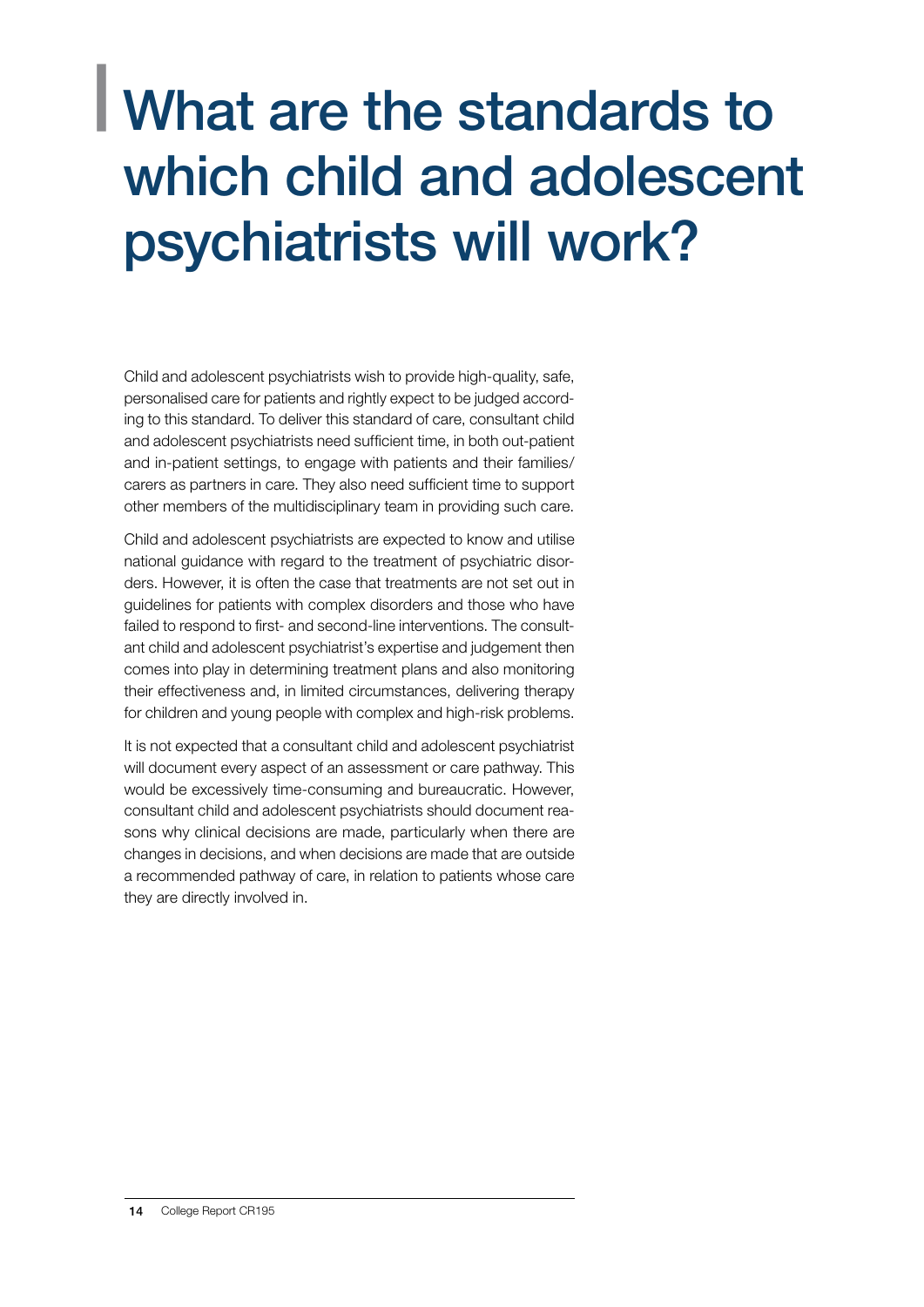### <span id="page-15-0"></span>| What are the standards to which child and adolescent psychiatrists will work?

Child and adolescent psychiatrists wish to provide high-quality, safe, personalised care for patients and rightly expect to be judged according to this standard. To deliver this standard of care, consultant child and adolescent psychiatrists need sufficient time, in both out-patient and in-patient settings, to engage with patients and their families/ carers as partners in care. They also need sufficient time to support other members of the multidisciplinary team in providing such care.

Child and adolescent psychiatrists are expected to know and utilise national guidance with regard to the treatment of psychiatric disorders. However, it is often the case that treatments are not set out in guidelines for patients with complex disorders and those who have failed to respond to first- and second-line interventions. The consultant child and adolescent psychiatrist's expertise and judgement then comes into play in determining treatment plans and also monitoring their effectiveness and, in limited circumstances, delivering therapy for children and young people with complex and high-risk problems.

It is not expected that a consultant child and adolescent psychiatrist will document every aspect of an assessment or care pathway. This would be excessively time-consuming and bureaucratic. However, consultant child and adolescent psychiatrists should document reasons why clinical decisions are made, particularly when there are changes in decisions, and when decisions are made that are outside a recommended pathway of care, in relation to patients whose care they are directly involved in.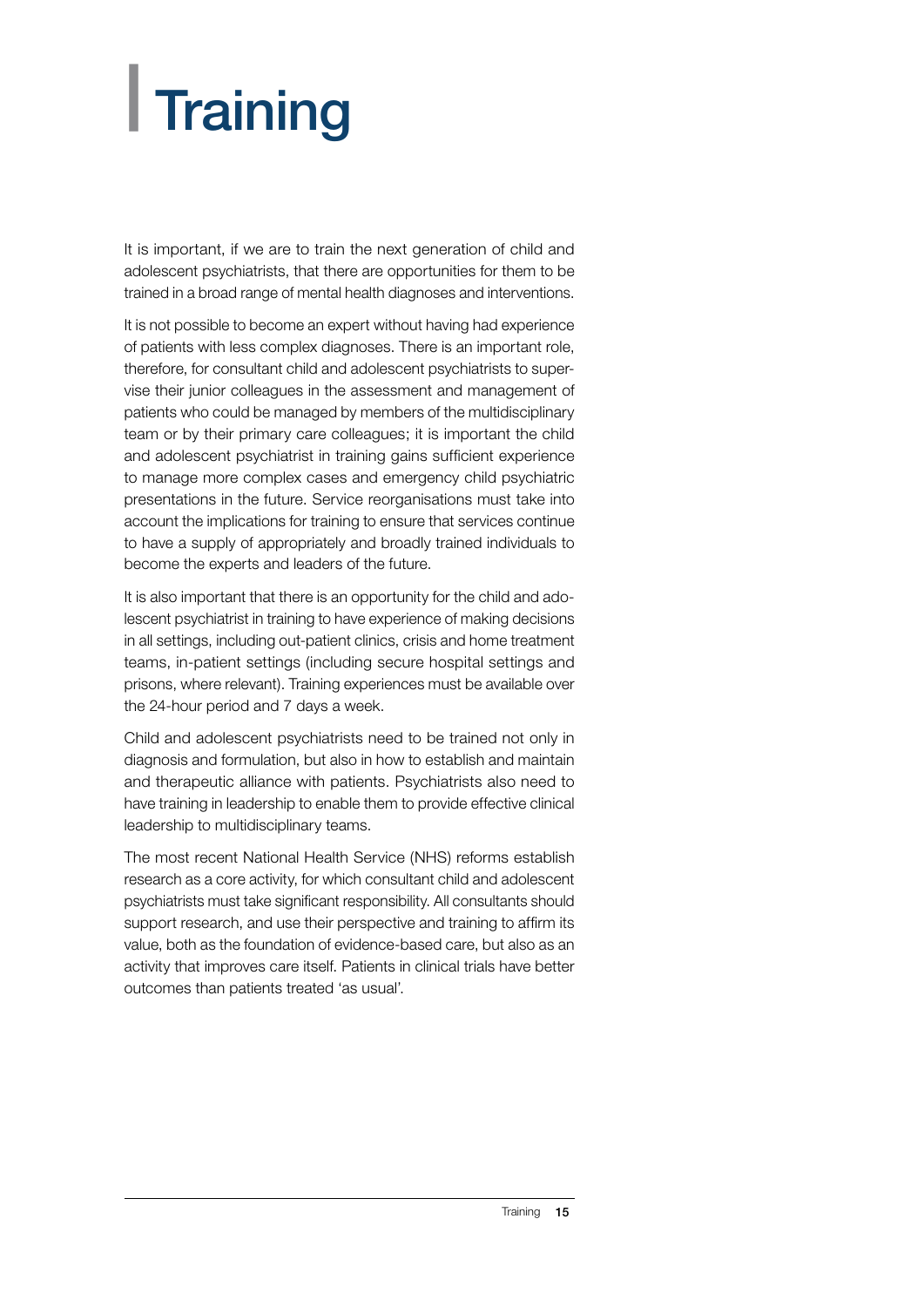# <span id="page-16-0"></span>| Training

It is important, if we are to train the next generation of child and adolescent psychiatrists, that there are opportunities for them to be trained in a broad range of mental health diagnoses and interventions.

It is not possible to become an expert without having had experience of patients with less complex diagnoses. There is an important role, therefore, for consultant child and adolescent psychiatrists to supervise their junior colleagues in the assessment and management of patients who could be managed by members of the multidisciplinary team or by their primary care colleagues; it is important the child and adolescent psychiatrist in training gains sufficient experience to manage more complex cases and emergency child psychiatric presentations in the future. Service reorganisations must take into account the implications for training to ensure that services continue to have a supply of appropriately and broadly trained individuals to become the experts and leaders of the future.

It is also important that there is an opportunity for the child and adolescent psychiatrist in training to have experience of making decisions in all settings, including out-patient clinics, crisis and home treatment teams, in-patient settings (including secure hospital settings and prisons, where relevant). Training experiences must be available over the 24-hour period and 7 days a week.

Child and adolescent psychiatrists need to be trained not only in diagnosis and formulation, but also in how to establish and maintain and therapeutic alliance with patients. Psychiatrists also need to have training in leadership to enable them to provide effective clinical leadership to multidisciplinary teams.

The most recent National Health Service (NHS) reforms establish research as a core activity, for which consultant child and adolescent psychiatrists must take significant responsibility. All consultants should support research, and use their perspective and training to affirm its value, both as the foundation of evidence-based care, but also as an activity that improves care itself. Patients in clinical trials have better outcomes than patients treated 'as usual'.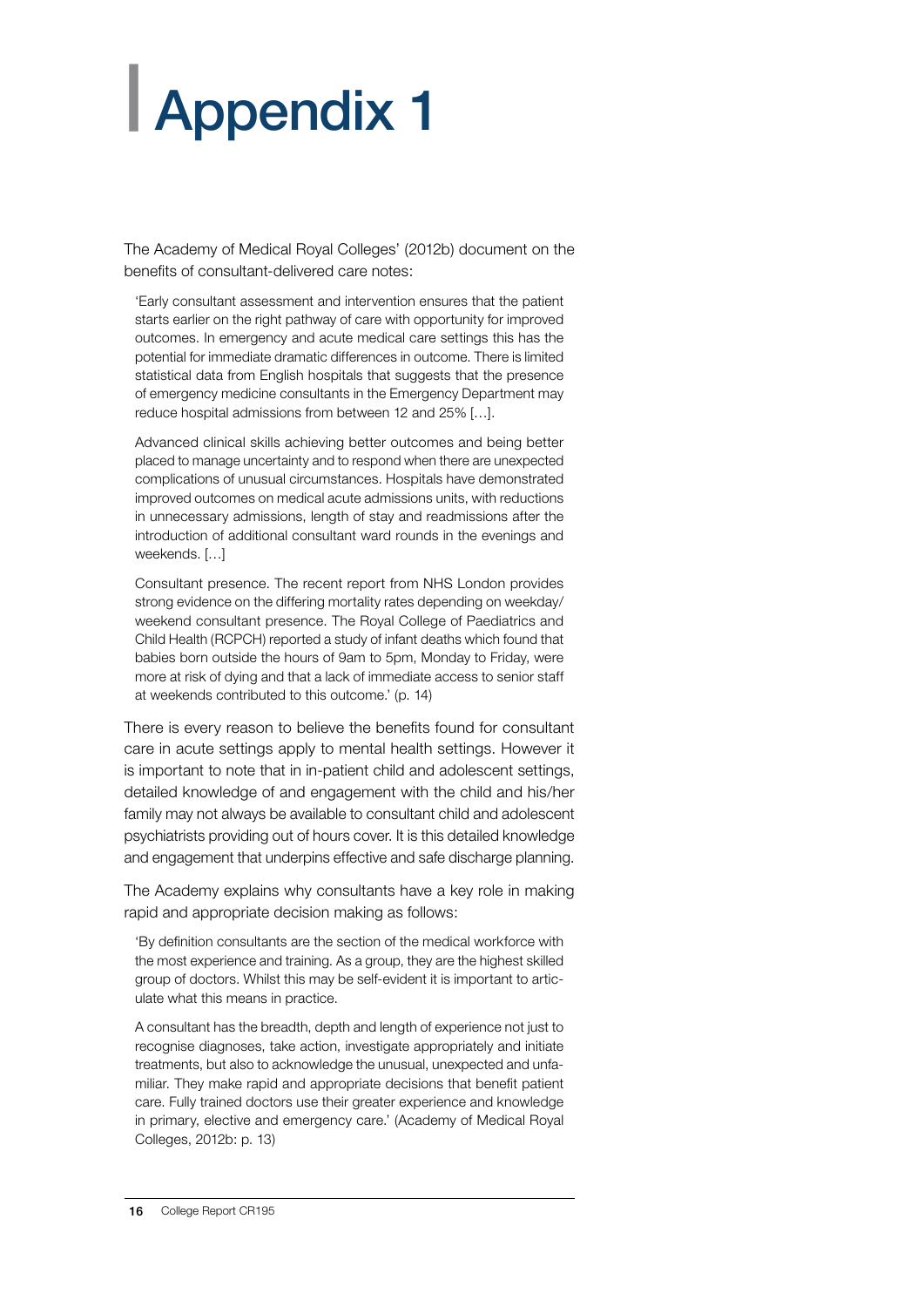# <span id="page-17-0"></span>| Appendix 1

The Academy of Medical Royal Colleges' (2012b) document on the benefits of consultant-delivered care notes:

'Early consultant assessment and intervention ensures that the patient starts earlier on the right pathway of care with opportunity for improved outcomes. In emergency and acute medical care settings this has the potential for immediate dramatic differences in outcome. There is limited statistical data from English hospitals that suggests that the presence of emergency medicine consultants in the Emergency Department may reduce hospital admissions from between 12 and 25% […].

Advanced clinical skills achieving better outcomes and being better placed to manage uncertainty and to respond when there are unexpected complications of unusual circumstances. Hospitals have demonstrated improved outcomes on medical acute admissions units, with reductions in unnecessary admissions, length of stay and readmissions after the introduction of additional consultant ward rounds in the evenings and weekends. […]

Consultant presence. The recent report from NHS London provides strong evidence on the differing mortality rates depending on weekday/ weekend consultant presence. The Royal College of Paediatrics and Child Health (RCPCH) reported a study of infant deaths which found that babies born outside the hours of 9am to 5pm, Monday to Friday, were more at risk of dying and that a lack of immediate access to senior staff at weekends contributed to this outcome.' (p. 14)

There is every reason to believe the benefits found for consultant care in acute settings apply to mental health settings. However it is important to note that in in-patient child and adolescent settings, detailed knowledge of and engagement with the child and his/her family may not always be available to consultant child and adolescent psychiatrists providing out of hours cover. It is this detailed knowledge and engagement that underpins effective and safe discharge planning.

The Academy explains why consultants have a key role in making rapid and appropriate decision making as follows:

'By definition consultants are the section of the medical workforce with the most experience and training. As a group, they are the highest skilled group of doctors. Whilst this may be self-evident it is important to articulate what this means in practice.

A consultant has the breadth, depth and length of experience not just to recognise diagnoses, take action, investigate appropriately and initiate treatments, but also to acknowledge the unusual, unexpected and unfamiliar. They make rapid and appropriate decisions that benefit patient care. Fully trained doctors use their greater experience and knowledge in primary, elective and emergency care.' (Academy of Medical Royal Colleges, 2012b: p. 13)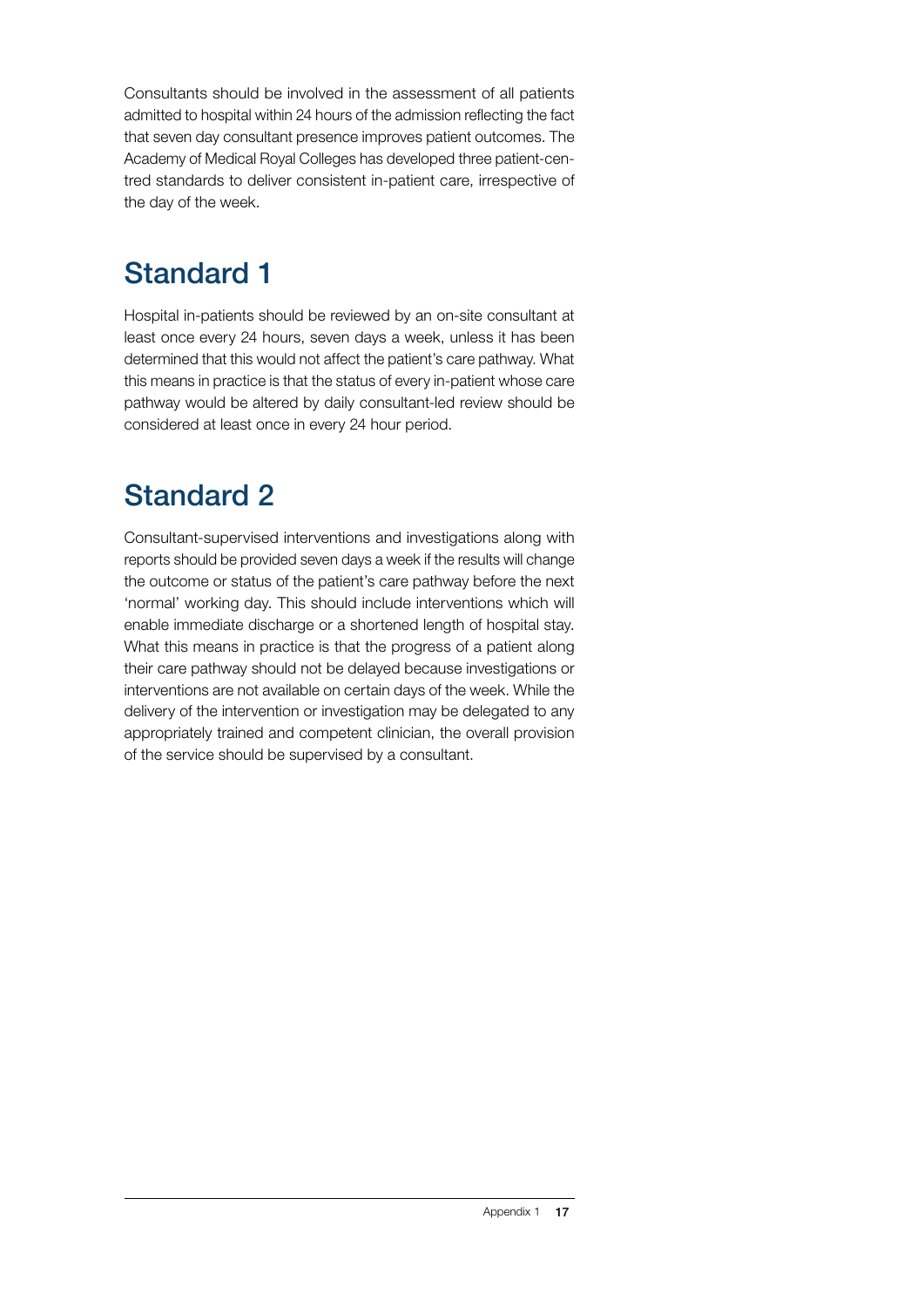Consultants should be involved in the assessment of all patients admitted to hospital within 24 hours of the admission reflecting the fact that seven day consultant presence improves patient outcomes. The Academy of Medical Royal Colleges has developed three patient-centred standards to deliver consistent in-patient care, irrespective of the day of the week.

#### Standard 1

Hospital in-patients should be reviewed by an on-site consultant at least once every 24 hours, seven days a week, unless it has been determined that this would not affect the patient's care pathway. What this means in practice is that the status of every in-patient whose care pathway would be altered by daily consultant-led review should be considered at least once in every 24 hour period.

#### Standard 2

Consultant-supervised interventions and investigations along with reports should be provided seven days a week if the results will change the outcome or status of the patient's care pathway before the next 'normal' working day. This should include interventions which will enable immediate discharge or a shortened length of hospital stay. What this means in practice is that the progress of a patient along their care pathway should not be delayed because investigations or interventions are not available on certain days of the week. While the delivery of the intervention or investigation may be delegated to any appropriately trained and competent clinician, the overall provision of the service should be supervised by a consultant.